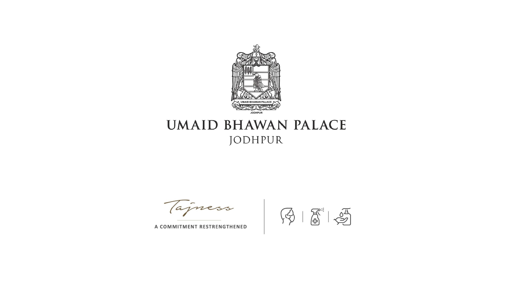

# **UMAID BHAWAN PALACE** JODHPUR

Tajness

A COMMITMENT RESTRENGTHENED

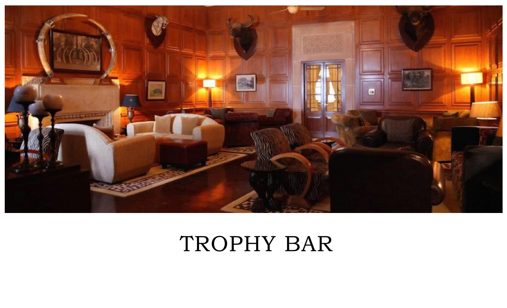

# TROPHY BAR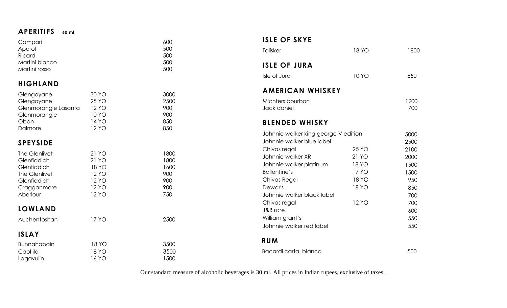### **APERITIFS 60 ml**

| Campari                 |              | 600  | <b>ISLE OF SKYE</b>                                               |              |      |
|-------------------------|--------------|------|-------------------------------------------------------------------|--------------|------|
| Aperol                  |              | 500  | Talisker                                                          | <b>18 YO</b> | 1800 |
| Ricard                  |              | 500  |                                                                   |              |      |
| Martini bianco          |              | 500  | <b>ISLE OF JURA</b>                                               |              |      |
| Martini rosso           |              | 500  |                                                                   |              |      |
|                         |              |      | Isle of Jura                                                      | <b>10 YO</b> | 850  |
| <b>HIGHLAND</b>         |              |      |                                                                   |              |      |
| Glengoyane              | 30 YO        | 3000 | <b>AMERICAN WHISKEY</b>                                           |              |      |
| Glengoyane              | <b>25 YO</b> | 2500 | Michters bourbon                                                  |              | 1200 |
| Glenmorangie Lasanta    | <b>12 YO</b> | 900  | Jack daniel                                                       |              | 700  |
| Glenmorangie            | <b>10 YO</b> | 900  |                                                                   |              |      |
| Oban                    | <b>14 YO</b> | 850  | <b>BLENDED WHISKY</b>                                             |              |      |
| Dalmore                 | <b>12 YO</b> | 850  |                                                                   |              |      |
|                         |              |      | Johnnie walker king george V edition<br>Johnnie walker blue label |              | 5000 |
| <b>SPEYSIDE</b>         |              |      |                                                                   |              | 2500 |
| The Glenlivet           | 21 YO        | 1800 | Chivas regal                                                      | <b>25 YO</b> | 2100 |
| Glenfiddich             | 21 YO        | 1800 | Johnnie walker XR                                                 | 21 YO        | 2000 |
| Glenfiddich             | <b>18 YO</b> | 1600 | Johnnie walker platinum                                           | <b>18 YO</b> | 1500 |
| The Glenlivet           | <b>12 YO</b> | 900  | <b>Ballentine's</b>                                               | <b>17 YO</b> | 1500 |
| Glenfiddich             | <b>12 YO</b> | 900  | Chivas Regal                                                      | <b>18 YO</b> | 950  |
| Cragganmore             | <b>12 YO</b> | 900  | Dewar's                                                           | <b>18 YO</b> | 850  |
| Aberlour                | <b>12 YO</b> | 750  | Johnnie walker black label                                        |              | 700  |
|                         |              |      | Chivas regal                                                      | <b>12 YO</b> | 700  |
| <b>LOWLAND</b>          |              |      | J&B rare                                                          |              | 600  |
| Auchentoshan            | <b>17 YO</b> | 2500 | William grant's                                                   |              | 550  |
|                         |              |      | Johnnie walker red label                                          |              | 550  |
| <b>ISLAY</b>            |              |      |                                                                   |              |      |
|                         | <b>18 YO</b> | 3500 | <b>RUM</b>                                                        |              |      |
| Bunnahabain<br>Caol ila | <b>18 YO</b> | 3500 | Bacardi carta blanca                                              |              | 500  |
| Lagavulin               | <b>16 YO</b> | 1500 |                                                                   |              |      |
|                         |              |      |                                                                   |              |      |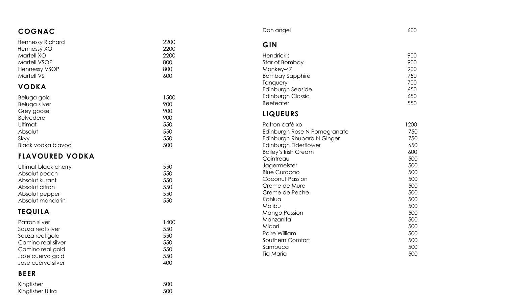| <b>COGNAC</b>                   |              | Don angel                                           | 600        |
|---------------------------------|--------------|-----------------------------------------------------|------------|
| Hennessy Richard<br>Hennessy XO | 2200<br>2200 | GIN                                                 |            |
| Martell XO                      | 2200         | Hendrick's                                          | 900        |
| Martell VSOP                    | 800          | Star of Bombay                                      | 900        |
| <b>Hennessy VSOP</b>            | 800          | Monkey-47                                           | 900        |
| <b>Martell VS</b>               | 600          | <b>Bombay Sapphire</b>                              | 750        |
| <b>VODKA</b>                    |              | Tanquery                                            | 700        |
|                                 |              | Edinburgh Seaside                                   | 650        |
| Beluga gold                     | 1500         | Edinburgh Classic                                   | 650        |
| Beluga silver                   | 900          | <b>Beefeater</b>                                    | 550        |
| Grey goose                      | 900          | <b>LIQUEURS</b>                                     |            |
| <b>Belvedere</b>                | 900          |                                                     |            |
| Ultimat                         | 550          | Patron café xo                                      | 1200       |
| Absolut                         | 550          | Edinburgh Rose N Pomegranate                        | 750        |
| Skyy<br>Black vodka blavod      | 550<br>500   | Edinburgh Rhubarb N Ginger<br>Edinburgh Elderflower | 750<br>650 |
|                                 |              | <b>Bailey's Irish Cream</b>                         | 600        |
| <b>FLAVOURED VODKA</b>          |              | Cointreau                                           | 500        |
| Ultimat black cherry            | 550          | Jagermeister                                        | 500        |
| Absolut peach                   | 550          | <b>Blue Curacao</b>                                 | 500        |
| Absolut kurant                  | 550          | Coconut Passion                                     | 500        |
| Absolut citron                  | 550          | Creme de Mure                                       | 500        |
| Absolut pepper                  | 550          | Creme de Peche                                      | 500        |
| Absolut mandarin                | 550          | Kahlua                                              | 500        |
|                                 |              | Malibu                                              | 500        |
| <b>TEQUILA</b>                  |              | <b>Mango Passion</b>                                | 500        |
| Patron silver                   | 1400         | Manzanita                                           | 500        |
| Sauza real silver               | 550          | Midori                                              | 500        |
| Sauza real gold                 | 550          | Poire William                                       | 500        |
| Camino real silver              | 550          | Southern Comfort<br>Sambuca                         | 500<br>500 |
| Camino real gold                | 550          | <b>Tia Maria</b>                                    | 500        |
| Jose cuervo gold                | 550          |                                                     |            |
| Jose cuervo silver              | 400          |                                                     |            |
| <b>BEER</b>                     |              |                                                     |            |
| Kingfisher                      | 500          |                                                     |            |
| Kingfisher Ultra                | 500          |                                                     |            |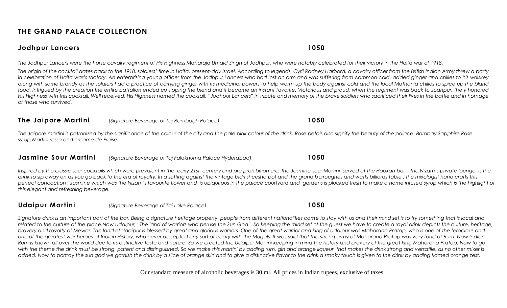### **THE GRAND PALACE COLLECTION**

#### **Jodhpur Lancers 1050**

*The Jodhpur Lancers were the horse cavalry regiment of His Highness Maharaja Umaid Singh of Jodhpur, who were notably celebrated for their victory in the Haifa war of 1918.*

*The origin of the cocktail dates back to the 1918, soldiers' time in Haifa, present-day Israel. According to legends, Cyril Rodney Harbord, a cavalry officer from the British Indian Army threw a party in celebration of Haifa war's Victory. An enterprising young officer from the Jodhpur Lancers who had lost an arm and was suffering from common cold, added ginger and chilies to his whiskey*  along with some brandy as the soldiers had a practice of carrying ginger with its medicinal powers to help warm up the body against cold and the local Mathania chilies to spice up the bland *food. Intrigued by the creation the entire battalion ended up sipping the blend and it became an instant favorite. Victorious and proud, when the regiment was back to Jodhpur, the y honored*  His Highness with this cocktail. Well received, His Highness named the cocktail, "Jodhpur Lancers" in tribute and memory of the brave soldiers who sacrificed their lives in the battle and in homage *of those who survived.*

#### **The Jaipore Martini** *(Signature Beverage of Taj Rambagh Palace)* **1050**

*The Jaipore martini is patronized by the significance of the colour of the city and the pale pink colour of the drink. Rose petals also signify the beauty of the palace. Bombay Sapphire,Rose syrup,Martini rosso and creame de Fraise*

#### **Jasmine Sour Martini** *(Signature Beverage of Taj Falaknuma Palace Hyderabad)* **1050**

Inspired by the classic sour cocktails which were prevalent in the early 21st century and pre prohibition era, the Jasmine sour Martini served at the Hookah bar - the Nizam's private lounge is the drink to sip away on as you go back to the era of royalty. In a setting against the vintage bidri sheesha pot and the grand burroughes and watts billiards table, the mixologist hand crafts this *perfect concoction . Jasmine which was the Nizam's favourite flower and is ubiquitous in the palace courtyard and gardens is plucked fresh to make a home infused syrup which is the highlight of this elegant and refreshing beverage.*

#### **Udaipur Martini** *(Signature Beverage of Taj Lake Palace)* **1050**

*Signature drink is an important part of the bar. Being a signature heritage property, people from different nationalities come to stay with us and their mind set is to try something that is local and related to the culture of the place.Now Udaipur, "The land of warriors who peruse the Sun God". So keeping the mind set of the guest we have to create a royal drink depicts the culture, heritage, bravery and royalty of Mewar. The land of Udaipur is blessed by great and glorious warriors. One of the great warrior and king of Udaipur was Maharana Pratap, who is one of the ferocious and*  one of the greatest war heroes of Indian History, who never accepted any sort of treaty with the Mugals. It was said that the strong army of Maharana Pratap was very fond of Rum. Now Indian *Rum is known all over the world due to its distinctive taste and nature. So we created the Udaipur Martini keeping in mind the history and bravery of the great king Maharana Pratap. Now to go*  with the theme the drink must be strong, patent and distinguished. So we make this martini by adding rum, gin and orange liqueur, that makes the drink strong and versatile, as no other mixer is *added. Now to portray the sun god we garnish the drink by a slice of orange skin and to give a distinctive flavor to the drink a smoky touch is given to the drink by adding flamed orange zest.*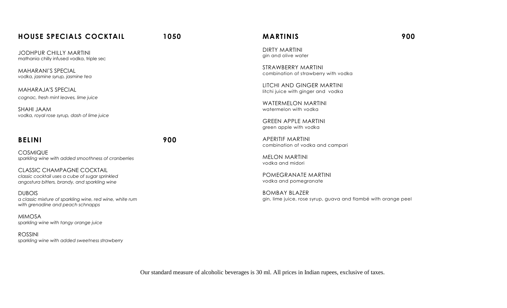#### **HOUSE SPECIALS COCKTAIL 1050**

JODHPUR CHILLY MARTINI mathania chilly infused vodka, triple sec

MAHARANI'S SPECIAL *vodka, jasmine syrup, jasmine tea*

MAHARAJA'S SPECIAL *cognac, fresh mint leaves, lime juice*

SHAHI JAAM *vodka, royal rose syrup, dash of lime juice* 

#### **BELINI 900**

COSMIQUE *sparkling wine with added smoothness of cranberries*

CLASSIC CHAMPAGNE COCKTAIL *classic cocktail uses a cube of sugar sprinkled angostura bitters, brandy, and sparkling wine*

DUBOIS *a classic mixture of sparkling wine, red wine, white rum with grenadine and peach schnapps* 

MIMOSA *sparkling wine with tangy orange juice*

ROSSINI *sparkling wine with added sweetness strawberry* 

#### **MARTINIS 900**

DIRTY MARTINI gin and olive water

STRAWBERRY MARTINI combination of strawberry with vodka

LITCHI AND GINGER MARTINI litchi juice with ginger and vodka

WATERMELON MARTINI watermelon with vodka

GREEN APPLE MARTINI green apple with vodka

APERITIF MARTINI combination of vodka and campari

MELON MARTINI vodka and midori

POMEGRANATE MARTINI vodka and pomegranate

BOMBAY BLAZER gin, lime juice, rose syrup, guava and flambé with orange peel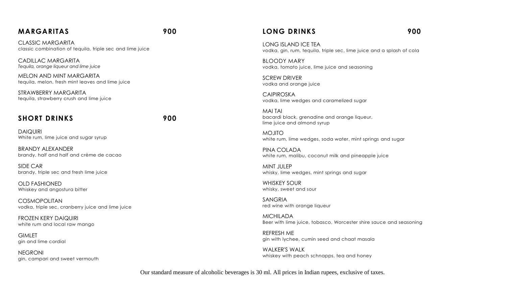#### **MARGARITAS 900**

CLASSIC MARGARITA classic combination of tequila, triple sec and lime juice

CADILLAC MARGARITA *Tequila, orange liqueur and lime juice*

MELON AND MINT MARGARITA tequila, melon, fresh mint leaves and lime juice

STRAWBERRY MARGARITA tequila, strawberry crush and lime juice

#### **SHORT DRINKS 900**

DAIQUIRI White rum, lime juice and sugar syrup

BRANDY ALEXANDER brandy, half and half and crème de cacao

SIDE CAR brandy, triple sec and fresh lime juice

OLD FASHIONED Whiskey and angostura bitter

COSMOPOLITAN vodka, triple sec, cranberry juice and lime juice

FROZEN KERY DAIQUIRI white rum and local raw mango

**GIMLET** gin and lime cordial

NEGRONI gin, campari and sweet vermouth

#### **LONG DRINKS 900**

LONG ISLAND ICE TEA vodka, gin, rum, tequila, triple sec, lime juice and a splash of cola

BLOODY MARY vodka, tomato juice, lime juice and seasoning

SCREW DRIVER vodka and orange juice

CAIPIROSKA vodka, lime wedges and caramelized sugar

MAI TAI bacardi black, grenadine and orange liqueur, lime juice and almond syrup

MOJITO white rum, lime wedges, soda water, mint springs and sugar

PINA COLADA white rum, malibu, coconut milk and pineapple juice

MINT JULEP whisky, lime wedges, mint springs and sugar

WHISKEY SOUR whisky, sweet and sour

SANGRIA red wine with orange liqueur

MICHILADA Beer with lime juice, tobasco, Worcester shire sauce and seasoning

REFRESH ME gin with lychee, cumin seed and chaat masala

WALKER'S WALK whiskey with peach schnapps, tea and honey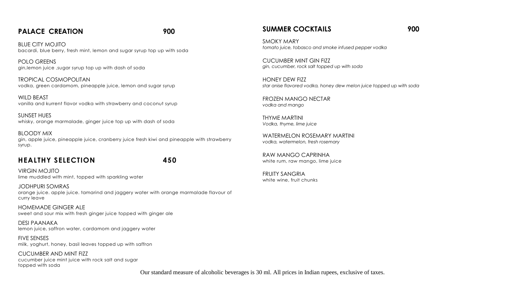#### PALACE CREATION 900

BLUE CITY MOJITO bacardi, blue berry, fresh mint, lemon and sugar syrup top up with soda

POLO GREENS gin,lemon juice ,sugar syrup top up with dash of soda

TROPICAL COSMOPOLITAN vodka, green cardamom, pineapple juice, lemon and sugar syrup

WILD BEAST vanilla and kurrent flavor vodka with strawberry and coconut syrup

SUNSET HUES whisky, orange marmalade, ginger juice top up with dash of soda

BLOODY MIX gin, apple juice, pineapple juice, cranberry juice fresh kiwi and pineapple with strawberry syrup.

#### **HEALTHY SELECTION 450**

VIRGIN MOJITO lime muddled with mint, topped with sparkling water

JODHPURI SOMRAS orange juice. apple juice. tamarind and jaggery water with orange marmalade flavour of curry leave

HOMEMADE GINGER ALE sweet and sour mix with fresh ginger juice topped with ginger ale

DESI PAANAKA lemon juice, saffron water, cardamom and jaggery water

FIVE SENSES milk, yoghurt, honey, basil leaves topped up with saffron

CUCUMBER AND MINT FIZZ cucumber juice mint juice with rock salt and sugar topped with soda

#### **SUMMER COCKTAILS** 900

SMOKY MARY *tomato juice, tobasco and smoke infused pepper vodka*

CUCUMBER MINT GIN FIZZ *gin, cucumber, rock salt topped up with soda*

HONEY DEW FIZZ *star anise flavored vodka, honey dew melon juice topped up with soda*

FROZEN MANGO NECTAR *vodka and mango*

THYME MARTINI *Vodka, thyme, lime juice*

WATERMELON ROSEMARY MARTINI *vodka, watermelon, fresh rosemary*

RAW MANGO CAPRINHA white rum, raw mango, lime juice

FRUITY SANGRIA white wine, fruit chunks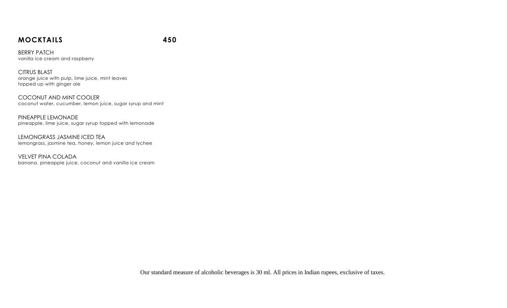#### **MOCKTAILS 450**

BERRY PATCH vanilla ice cream and raspberry

CITRUS BLAST orange juice with pulp, lime juice, mint leaves topped up with ginger ale

COCONUT AND MINT COOLER coconut water, cucumber, lemon juice, sugar syrup and mint

PINEAPPLE LEMONADE pineapple, lime juice, sugar syrup topped with lemonade

LEMONGRASS JASMINE ICED TEA lemongrass, jasmine tea, honey, lemon juice and lychee

VELVET PINA COLADA banana, pineapple juice, coconut and vanilla ice cream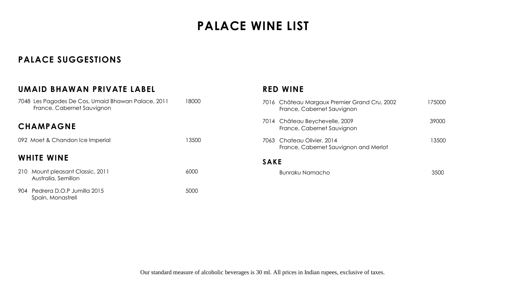# **PALACE WINE LIST**

# **PALACE SUGGESTIONS**

| UMAID BHAWAN PRIVATE LABEL                                                       |       |
|----------------------------------------------------------------------------------|-------|
| 7048 Les Pagodes De Cos, Umaid Bhawan Palace, 2011<br>France, Cabernet Sauvignon | 18000 |
| <b>CHAMPAGNE</b>                                                                 |       |
| 092 Moet & Chandon Ice Imperial                                                  | 13500 |
| <b>WHITE WINE</b>                                                                |       |
| 210 Mount pleasant Classic, 2011<br>Australia, Semillon                          | 6000  |
| 904 Pedrera D.O.P Jumilla 2015<br>Spain, Monastrell                              | 5000  |

#### **RED WINE**

|             | 7016 Château Margaux Premier Grand Cru, 2002<br>France, Cabernet Sauvignon | 175000 |
|-------------|----------------------------------------------------------------------------|--------|
|             | 7014 Château Beychevelle, 2009<br>France, Cabernet Sauvignon               | 39000  |
|             | 7063 Chateau Olivier, 2014<br>France, Cabernet Sauvignon and Merlot        | 13500  |
| <b>SAKE</b> |                                                                            |        |
|             | Bunraku Namacho                                                            |        |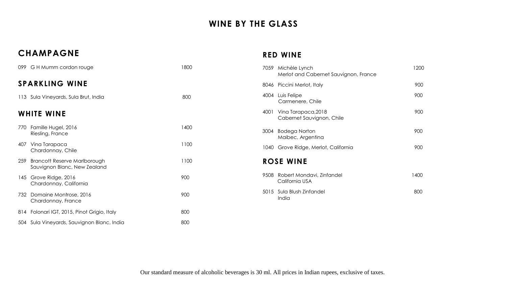# **WINE BY THE GLASS**

# **CHAMPAGNE**

### **RED WINE**

| 099 G H Mumm cordon rouge                                                  | 1800 | 1200<br>7059 Michèle Lynch<br>Merlot and Cabernet Sauvignon, France |
|----------------------------------------------------------------------------|------|---------------------------------------------------------------------|
| <b>SPARKLING WINE</b>                                                      |      | 900<br>8046 Piccini Merlot, Italy                                   |
| 113 Sula Vineyards, Sula Brut, India                                       | 800  | 900<br>4004 Luis Felipe<br>Carmenere, Chile                         |
| <b>WHITE WINE</b>                                                          |      | 900<br>Vina Tarapaca, 2018<br>4001<br>Cabernet Sauvignon, Chile     |
| Famille Hugel, 2016<br>770<br>Riesling, France                             | 1400 | 900<br>3004 Bodega Norton<br>Maibec, Argentina                      |
| Vina Tarapaca<br>407<br>Chardonnay, Chile                                  | 1100 | 900<br>1040 Grove Ridge, Merlot, California                         |
| <b>Brancott Reserve Marlborough</b><br>259<br>Sauvignon Blanc, New Zealand | 1100 | <b>ROSE WINE</b>                                                    |
| 145 Grove Ridge, 2016<br>Chardonnay, California                            | 900  | 9508 Robert Mondavi, Zinfandel<br>1400<br>California USA            |
| Domaine Montrose, 2016<br>732<br>Chardonnay, France                        | 900  | 800<br>5015 Sula Blush Zinfandel<br>India                           |
| 814 Folonari IGT, 2015, Pinot Grigio, Italy                                | 800  |                                                                     |
| 504 Sula Vineyards, Sauvignon Blanc, India                                 | 800  |                                                                     |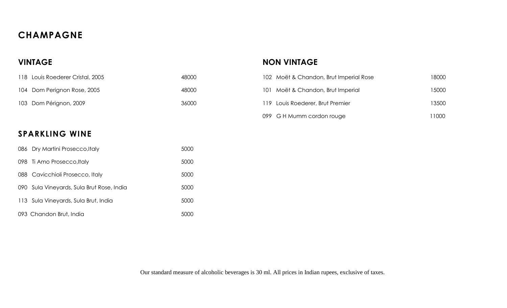# **CHAMPAGNE**

# **VINTAGE**

| 118 Louis Roederer Cristal, 2005 | 48000 |
|----------------------------------|-------|
| 104 Dom Perignon Rose, 2005      | 48000 |
| 103 Dom Pérignon, 2009           | 36000 |

# **SPARKLING WINE**

|     | 086 Dry Martini Prosecco, Italy       | 5000 |
|-----|---------------------------------------|------|
|     | 098 Ti Amo Prosecco, Italy            | 5000 |
|     | 088 Cavicchioli Prosecco, Italy       | 5000 |
| 090 | Sula Vineyards, Sula Brut Rose, India | 5000 |
|     | 113 Sula Vineyards, Sula Brut, India  | 5000 |
|     | 093 Chandon Brut, India               |      |

# **NON VINTAGE**

| 102 Moët & Chandon, Brut Imperial Rose | 18000 |
|----------------------------------------|-------|
| 101 Moët & Chandon, Brut Imperial      | 15000 |
| 119 Louis Roederer, Brut Premier       | 13500 |
| 099 G H Mumm cordon rouge              | 11000 |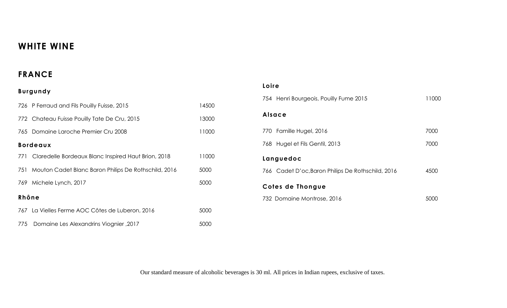# **WHITE WINE**

# **FRANCE**

# **Burgundy**

|       | 726 P Ferraud and Fils Pouilly Fuisse, 2015          | 14500 |
|-------|------------------------------------------------------|-------|
|       | 772 Chateau Fuisse Pouilly Tate De Cru, 2015         | 13000 |
|       | 765 Domaine Laroche Premier Cru 2008                 | 11000 |
|       | <b>Bordeaux</b>                                      |       |
| 771   | Claredelle Bordeaux Blanc Inspired Haut Brion, 2018  | 11000 |
| 751   | Mouton Cadet Blanc Baron Philips De Rothschild, 2016 | 5000  |
| 769.  | Michele Lynch, 2017                                  | 5000  |
| Rhône |                                                      |       |
|       | 767 La Vielles Ferme AOC Côtes de Luberon, 2016      | 5000  |
| 775   | Domaine Les Alexandrins Viognier, 2017               | 5000  |

| Loire                                             |       |
|---------------------------------------------------|-------|
| 754 Henri Bourgeois, Pouilly Fume 2015            | 11000 |
| Alsace                                            |       |
| 770 Famille Hugel, 2016                           | 7000  |
| Hugel et Fils Gentil, 2013<br>768                 | 7000  |
| Languedoc                                         |       |
| 766 Cadet D'oc, Baron Philips De Rothschild, 2016 | 4500  |
| Cotes de Thongue                                  |       |
| 732 Domaine Montrose, 2016                        |       |
|                                                   |       |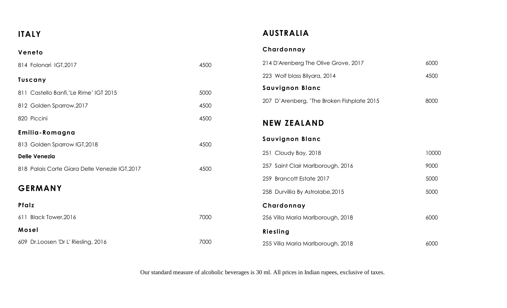**ITALY**

**Veneto**

# **AUSTRALIA**

### **Chardonnay**

| 814 Folonari IGT, 2017                         | 4500 | 214 D'Arenberg The Olive Grove, 2017       | 6000  |
|------------------------------------------------|------|--------------------------------------------|-------|
| <b>Tuscany</b>                                 |      | 223 Wolf blass Bilyara, 2014               | 4500  |
| 811 Castello Banfi,'Le Rime' IGT 2015          | 5000 | <b>Sauvignon Blanc</b>                     |       |
| 812 Golden Sparrow, 2017                       | 4500 | 207 D'Arenberg, 'The Broken Fishplate 2015 | 8000  |
| 820 Piccini                                    | 4500 | <b>NEW ZEALAND</b>                         |       |
| Emilia-Romagna                                 |      |                                            |       |
| 813 Golden Sparrow IGT, 2018                   | 4500 | <b>Sauvignon Blanc</b>                     |       |
| <b>Delle Venezia</b>                           |      | 251 Cloudy Bay, 2018                       | 10000 |
| 818 Palais Corte Giara Delle Venezie IGT, 2017 | 4500 | 257 Saint Clair Marlborough, 2016          | 9000  |
|                                                |      | 259 Brancott Estate 2017                   | 5000  |
| <b>GERMANY</b>                                 |      | 258 Durvillia By Astrolabe, 2015           | 5000  |
| Pfalz                                          |      | Chardonnay                                 |       |
| 611 Black Tower, 2016                          | 7000 | 256 Villa Maria Marlborough, 2018          | 6000  |
| Mosel                                          |      | Riesling                                   |       |
| 609 Dr.Loosen 'Dr L' Riesling, 2016            | 7000 | 255 Villa Maria Marlborough, 2018          | 6000  |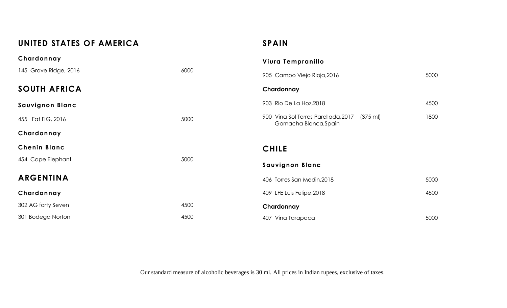# **UNITED STATES OF AMERICA**

# **SPAIN**

| Chardonnay             |      | Viura Tempranillo                                                         |      |
|------------------------|------|---------------------------------------------------------------------------|------|
| 145 Grove Ridge, 2016  | 6000 | 905 Campo Viejo Rioja, 2016                                               | 5000 |
| <b>SOUTH AFRICA</b>    |      | Chardonnay                                                                |      |
| <b>Sauvignon Blanc</b> |      | 903 Rio De La Hoz, 2018                                                   | 4500 |
| 455 Fat FIG, 2016      | 5000 | 900 Vina Sol Torres Parellada, 2017<br>(375 ml)<br>Garnacha Blanca, Spain | 1800 |
| Chardonnay             |      |                                                                           |      |
|                        |      |                                                                           |      |
| <b>Chenin Blanc</b>    |      | <b>CHILE</b>                                                              |      |
| 454 Cape Elephant      | 5000 | <b>Sauvignon Blanc</b>                                                    |      |
| <b>ARGENTINA</b>       |      | 406 Torres San Medin, 2018                                                | 5000 |
| Chardonnay             |      | 409 LFE Luis Felipe, 2018                                                 | 4500 |
| 302 AG forty Seven     | 4500 | Chardonnay                                                                |      |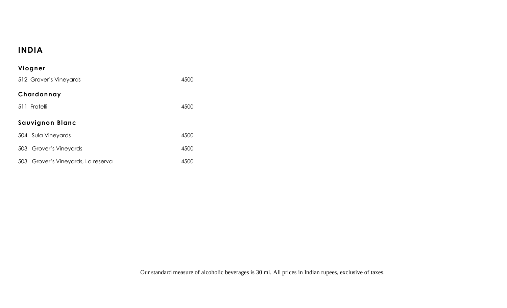# **INDIA**

# **Viogner** 512 Grover's Vineyards 4500 **Chardonnay** 511 Fratelli 4500 **Sauvignon Blanc** 504 Sula Vineyards 4500 503 Grover's Vineyards 4500 503 Grover's Vineyards, La reserva **1500**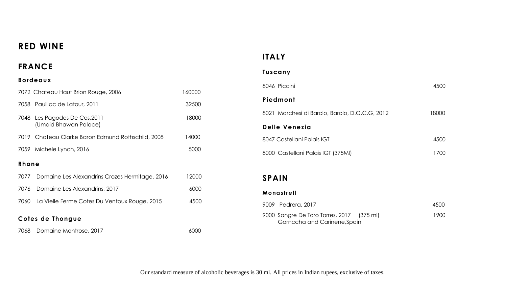# **RED WINE**

# **FRANCE**

#### **Bordeaux**

|                  | 7072 Chateau Haut Brion Rouge, 2006               | 160000 |
|------------------|---------------------------------------------------|--------|
|                  | 7058 Pauillac de Latour, 2011                     | 32500  |
| 7048             | Les Pagodes De Cos, 2011<br>(Umaid Bhawan Palace) | 18000  |
|                  | 7019 Chateau Clarke Baron Edmund Rothschild, 2008 | 14000  |
|                  | 7059 Michele Lynch, 2016                          | 5000   |
| Rhone            |                                                   |        |
| 7077             | Domaine Les Alexandrins Crozes Hermitage, 2016    | 12000  |
| 7076             | Domaine Les Alexandrins, 2017                     | 6000   |
| 7060             | La Vielle Ferme Cotes Du Ventoux Rouge, 2015      | 4500   |
| Cotes de Thongue |                                                   |        |

7068 Domaine Montrose, 2017 **6000** 6000

# **ITALY**

#### **Tuscany**

| 8046 Piccini                                   | 4500  |
|------------------------------------------------|-------|
| Piedmont                                       |       |
| 8021 Marchesi di Barolo, Barolo, D.O.C.G, 2012 | 18000 |
| Delle Venezia                                  |       |
| 8047 Castellani Palais IGT                     | 4500  |
| 8000 Castellani Palais IGT (375MI)             | 1700  |

### **SPAIN**

#### **Monastrell**

| 9009 Pedrera, 2017                                                        | 4500  |
|---------------------------------------------------------------------------|-------|
| 9000 Sangre De Toro Torres, 2017 (375 ml)<br>Garnccha and Carinene, Spain | 1900. |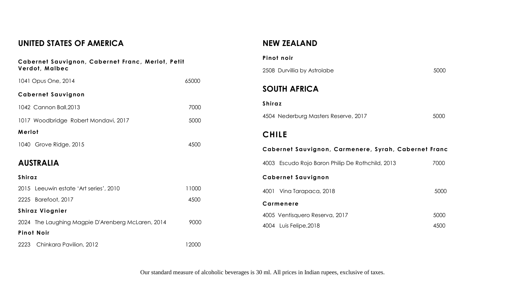# **UNITED STATES OF AMERICA**

| Cabernet Sauvignon, Cabernet Franc, Merlot, Petit<br>Verdot, Malbec |       |  |
|---------------------------------------------------------------------|-------|--|
| 1041 Opus One, 2014                                                 | 65000 |  |
| <b>Cabernet Sauvignon</b>                                           |       |  |
| 1042 Cannon Ball, 2013                                              | 7000  |  |
| 1017 Woodbridge Robert Mondavi, 2017                                | 5000  |  |
| Merlot                                                              |       |  |
| 1040 Grove Ridge, 2015                                              | 4500  |  |
| <b>AUSTRALIA</b>                                                    |       |  |
| Shiraz                                                              |       |  |
| 2015 Leeuwin estate 'Art series', 2010                              | 11000 |  |
| 2225 Barefoot, 2017                                                 | 4500  |  |
| <b>Shiraz Viognier</b>                                              |       |  |
| 2024 The Laughing Magpie D'Arenberg McLaren, 2014                   | 9000  |  |
| <b>Pinot Noir</b>                                                   |       |  |
| 2223 Chinkara Pavilion, 2012                                        | 12000 |  |

# **NEW ZEALAND**

| Pinot noir                                           |      |
|------------------------------------------------------|------|
| 2508 Durvillia by Astrolabe                          | 5000 |
| <b>SOUTH AFRICA</b>                                  |      |
| <b>Shiraz</b>                                        |      |
| 4504 Nederburg Masters Reserve, 2017                 | 5000 |
| <b>CHILE</b>                                         |      |
|                                                      |      |
| Cabernet Sauvignon, Carmenere, Syrah, Cabernet Franc |      |
| 4003 Escudo Rojo Baron Philip De Rothchild, 2013     | 7000 |
| <b>Cabernet Sauvignon</b>                            |      |
| 4001<br>Vina Tarapaca, 2018                          | 5000 |
| Carmenere                                            |      |
| 4005 Ventisquero Reserva, 2017                       | 5000 |
| 4004 Luis Felipe, 2018                               | 4500 |